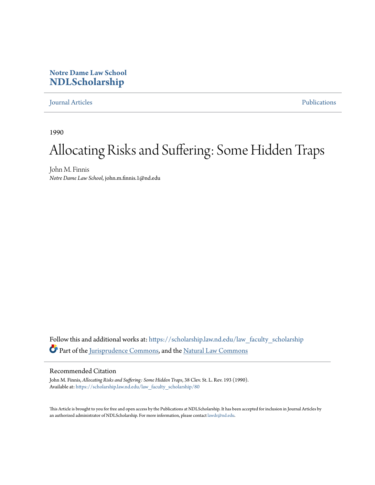# **Notre Dame Law School [NDLScholarship](https://scholarship.law.nd.edu?utm_source=scholarship.law.nd.edu%2Flaw_faculty_scholarship%2F80&utm_medium=PDF&utm_campaign=PDFCoverPages)**

## [Journal Articles](https://scholarship.law.nd.edu/law_faculty_scholarship?utm_source=scholarship.law.nd.edu%2Flaw_faculty_scholarship%2F80&utm_medium=PDF&utm_campaign=PDFCoverPages) **[Publications](https://scholarship.law.nd.edu/ndls_pubs?utm_source=scholarship.law.nd.edu%2Flaw_faculty_scholarship%2F80&utm_medium=PDF&utm_campaign=PDFCoverPages)**

1990

# Allocating Risks and Suffering: Some Hidden Traps

John M. Finnis *Notre Dame Law School*, john.m.finnis.1@nd.edu

Follow this and additional works at: [https://scholarship.law.nd.edu/law\\_faculty\\_scholarship](https://scholarship.law.nd.edu/law_faculty_scholarship?utm_source=scholarship.law.nd.edu%2Flaw_faculty_scholarship%2F80&utm_medium=PDF&utm_campaign=PDFCoverPages) Part of the [Jurisprudence Commons,](http://network.bepress.com/hgg/discipline/610?utm_source=scholarship.law.nd.edu%2Flaw_faculty_scholarship%2F80&utm_medium=PDF&utm_campaign=PDFCoverPages) and the [Natural Law Commons](http://network.bepress.com/hgg/discipline/1263?utm_source=scholarship.law.nd.edu%2Flaw_faculty_scholarship%2F80&utm_medium=PDF&utm_campaign=PDFCoverPages)

### Recommended Citation

John M. Finnis, *Allocating Risks and Suffering: Some Hidden Traps*, 38 Clev. St. L. Rev. 193 (1990). Available at: [https://scholarship.law.nd.edu/law\\_faculty\\_scholarship/80](https://scholarship.law.nd.edu/law_faculty_scholarship/80?utm_source=scholarship.law.nd.edu%2Flaw_faculty_scholarship%2F80&utm_medium=PDF&utm_campaign=PDFCoverPages)

This Article is brought to you for free and open access by the Publications at NDLScholarship. It has been accepted for inclusion in Journal Articles by an authorized administrator of NDLScholarship. For more information, please contact [lawdr@nd.edu.](mailto:lawdr@nd.edu)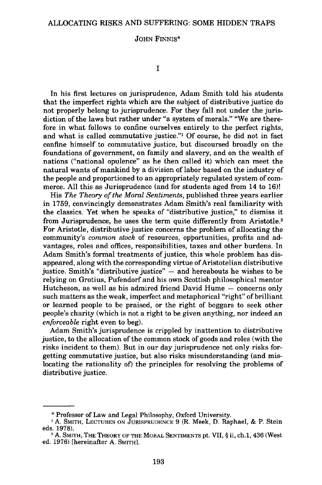#### JOHN FINNIS\*

**I**

In his first lectures on jurisprudence, Adam Smith told his students that the imperfect rights which are the subject of distributive justice do not properly belong to jurisprudence. For they fall not under the jurisdiction of the laws but rather under "a system of morals." "We are therefore in what follows to confine ourselves entirely to the perfect rights, and what is called commutative justice."' Of course, he did not in fact confine himself to commutative justice, but discoursed broadly on the foundations of government, on family and slavery, and on the wealth of nations ("national opulence" as he then called it) which can meet the natural wants of mankind by a division of labor based on the industry of the people and proportioned to an appropriately regulated system of commerce. All this as Jurisprudence (and for students aged from 14 to 16)!

His *The Theory of the Moral Sentiments,* published three years earlier in 1759, convincingly demonstrates Adam Smith's real familiarity with the classics. Yet when he speaks of "distributive justice," to dismiss it from Jurisprudence, he uses the term quite differently from Aristotle.<sup>2</sup> For Aristotle, distributive justice concerns the problem of allocating the community's *common stock* of resources, opportunities, profits and advantages, roles and offices, responsibilities, taxes and other burdens. In Adam Smith's formal treatments of justice, this whole problem has disappeared, along with the corresponding virtue of Aristotelian distributive justice. Smith's "distributive justice" **-** and hereabouts he wishes to be relying on Grotius, Pufendorf and his own Scottish philosophical mentor Hutcheson, as well as his admired friend David Hume - concerns only such matters as the weak, imperfect and metaphorical "right" of brilliant or learned people to be praised, or the right of beggars to seek other people's charity (which is not a right to be given anything, nor indeed an *enforceable* right even to beg).

Adam Smith's jurisprudence is crippled by inattention to distributive justice, to the allocation of the common stock of goods and roles (with the risks incident to them). But in our day jurisprudence not only risks forgetting commutative justice, but also risks misunderstanding (and mislocating the rationality of) the principles for resolving the problems of distributive justice.

<sup>\*</sup> Professor of Law and Legal Philosophy, Oxford University.

A. SMITH, LECTURES ON JURISPRUDENCE 9 (R. Meek, D. Raphael, & P. Stein eds. 1978).<br><sup>2</sup> A. Smith, The Theory of the Moral Sentiments pt. VII, § ii, ch.1, 436 (West

ed. 1976) [hereinafter A. SMITH].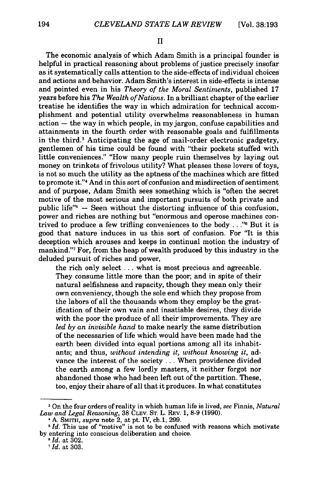#### II

The economic analysis of which Adam Smith is a principal founder is helpful in practical reasoning about problems of justice precisely insofar as it systematically calls attention to the side-effects of individual choices and actions and behavior. Adam Smith's interest in side-effects is intense and pointed even in his *Theory of the Moral Sentiments,* published 17 years before his *The Wealth of Nations.* In a brilliant chapter of the earlier treatise he identifies the way in which admiration for technical accomplishment and potential utility overwhelms reasonableness in human action **-** the way in which people, in my jargon, confuse capabilities and attainments in the fourth order with reasonable goals and fulfillments in the third.3 Anticipating the age of mail-order electronic gadgetry, gentlemen of his time could be found with "their pockets stuffed with little conveniences." "How many people ruin themselves by laying out money on trinkets of frivolous utility? What pleases these lovers of toys, is not so much the utility as the aptness of the machines which are fitted to promote it."4 And in this sort of confusion and misdirection of sentiment and of purpose, Adam Smith sees something which is "often the secret motive of the most serious and important pursuits of both private and public life"5 **-** Seen without the distorting influence of this confusion, power and riches are nothing but "enormous and operose machines contrived to produce a few trifling conveniences to the body. **."** But it is good that nature induces in us this sort of confusion. For "It is this deception which arouses and keeps in continual motion the industry of mankind." For, from the heap of wealth produced by this industry in the deluded pursuit of riches and power,

the rich only select **...** what is most precious and agreeable. They consume little more than the poor; and in spite of their natural selfishness and rapacity, though they mean only their own conveniency, though the sole end which they propose from the labors of all the thousands whom they employ be the gratification of their own vain and insatiable desires, they divide with the poor the produce of all their improvements. They are *led by an invisible hand* to make nearly the same distribution of the necessaries of life which would have been made had the earth been divided into equal portions among all its inhabitants; and thus, *without intending it, without knowing it,* advance the interest of the society ... When providence divided the earth among a few lordly masters, it neither forgot nor abandoned those who had been left out of the partition. These, too, enjoy their share of all that it produces. In what constitutes

<sup>3</sup>On the four orders of reality in which human life is lived, *see* Finnis, *Natural Law and Legal Reasoning,* 38 CLEV. ST. L. REV. 1, 8-9 (1990).

A. SMITH, *supra* note 2, at pt. IV, ch.1, 299.

Id. This use of "motive" is not to be confused with reasons which motivate by entering into conscious deliberation and choice.

*<sup>&#</sup>x27;Id.* at 302. *7Id.* at 303.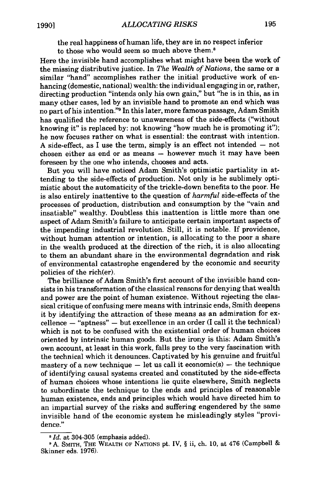the real happiness of human life, they are in no respect inferior to those who would seem so much above them.<sup>8</sup>

Here the invisible hand accomplishes what might have been the work of the missing distributive justice. In *The Wealth of Nations,* the same or a similar "hand" accomplishes rather the initial productive work of enhancing (domestic, national) wealth: the individual engaging in or, rather, directing production "intends only his own gain," but "he is in this, as in many other cases, led by an invisible hand to promote an end which was no part of his intention."9 In this later, more famous passage, Adam Smith has qualified the reference to unawareness of the side-effects ("without knowing it" is replaced by: not knowing "how much he is promoting it"); he now focuses rather on what is essential: the contrast with intention. A side-effect, as I use the term, simply is an effect not intended **-** not chosen either as end or as means **-** however much it may have been foreseen by the one who intends, chooses and acts.

But you will have noticed Adam Smith's optimistic partiality in attending to the side-effects of production. Not only is he sublimely optimistic about the automaticity of the trickle-down benefits to the poor. He is also entirely inattentive to the question of *harmful* side-effects of the processes of production, distribution and consumption by the "vain and insatiable" wealthy. Doubtless this inattention is little more than one aspect of Adam Smith's failure to anticipate certain important aspects of the impending industrial revolution. Still, it is notable. If providence, without human attention or intention, is allocating to the poor a share in the wealth produced at the direction of the rich, it is also allocating to them an abundant share in the environmental degradation and risk of environmental catastrophe engendered by the economic and security policies of the rich(er).

The brilliance of Adam Smith's first account of the invisible hand consists in his transformation of the classical reasons for denying that wealth and power are the point of human existence. Without rejecting the classical critique of confusing mere means with intrinsic ends, Smith deepens it by identifying the attraction of these means as an admiration for excellence **-** "aptness" **-** but excellence in an order (I call it the technical) which is not to be confused with the existential order of human choices oriented by intrinsic human goods. But the irony is this: Adam Smith's own account, at least in this work, falls prey to the very fascination with the technical which it denounces. Captivated by his genuine and fruitful mastery of a new technique **-** let us call it economic(s) **-** the technique of identifying causal systems created and constituted by the side-effects of human choices whose intentions lie quite elsewhere, Smith neglects to subordinate the technique to the ends and principles of reasonable human existence, ends and principles which would have directed him to an impartial survey of the risks and suffering engendered by the same invisible hand of the economic system he misleadingly styles "providence."

**<sup>8</sup>** *Id.* at 304-305 (emphasis added).

<sup>&</sup>lt;sup>9</sup> A. SMITH, THE WEALTH OF NATIONS pt. IV, § ii, ch. 10, at 476 (Campbell & Skinner eds. 1976).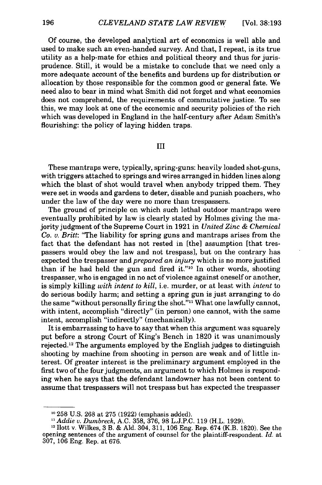Of course, the developed analytical art of economics is well able and used to make such an even-handed survey. And that, I repeat, is its true utility as a help-mate for ethics and political theory and thus for jurisprudence. Still, it would be a mistake to conclude that we need only a more adequate account of the benefits and burdens up for distribution or allocation by those responsible for the common good or general fate. We need also to bear in mind what Smith did not forget and what economics does not comprehend, the requirements of commutative justice. To see this, we may look at one of the economic and security policies of the rich which was developed in England in the half-century after Adam Smith's flourishing: the policy of laying hidden traps.

#### III

These mantraps were, typically, spring-guns: heavily loaded shot-guns, with triggers attached to springs and wires arranged in hidden lines along which the blast of shot would travel when anybody tripped them. They were set in woods and gardens to deter, disable and punish poachers, who under the law of the day were no more than trespassers.

The ground of principle on which such lethal outdoor mantraps were eventually prohibited by law is clearly stated by Holmes giving the majority judgment of the Supreme Court in 1921 in *United Zinc & Chemical Co. v. Britt:* "The liability for spring guns and mantraps arises from the fact that the defendant has not rested in [the] assumption [that trespassers would obey the law and not trespass], but on the contrary has expected the trespasser and *prepared an injury* which is no more justified than if he had held the gun and fired it." $10$  In other words, shooting trespasser, who is engaged in no act of violence against oneself or another, is simply killing *with intent to kill,* i.e. murder, or at least with *intent* to do serious bodily harm; and setting a spring gun is just arranging to do the same "without personally firing the shot."'1 What one lawfully cannot, with intent, accomplish "directly" (in person) one cannot, with the same intent, accomplish "indirectly" (mechanically).

It is embarrassing to have to say that when this argument was squarely put before a strong Court of King's Bench in 1820 it was unanimously rejected. 12 The arguments employed by the English judges to distinguish shooting by machine from shooting in person are weak and of little interest. Of greater interest is the preliminary argument employed in the first two of the four judgments, an argument to which Holmes is responding when he says that the defendant landowner has not been content to assume that trespassers will not trespass but has expected the trespasser

**<sup>&#</sup>x27;0** 258 U.S. 268 at 275 (1922) (emphasis added).

*<sup>&</sup>quot; Addie v. Dumbreck,* A.C. 358, 376, 98 L.J.P.C. 119 (H.L. 1929).

<sup>12</sup>Ilott v. Wilkes, 3 B. & **Ald.** 304, 311, 106 Eng. Rep. 674 (K.B. 1820). See the opening sentences of the argument of counsel for the plaintiff-respondent. *Id.* at 307, 106 Eng. Rep. at 676.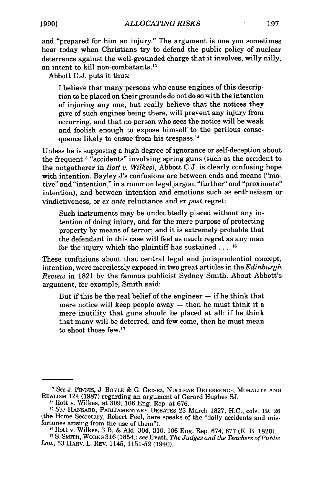and "prepared for him an injury." The argument is one you sometimes hear today when Christians try to defend the public policy of nuclear deterrence against the well-grounded charge that it involves, willy nilly, an intent to kill non-combatants.<sup>13</sup>

Abbott C.J. puts it thus:

I believe that many persons who cause engines of this description to be placed on their grounds do not do so with the intention of injuring any one, but really believe that the notices they give of such engines being there, will prevent any injury from occurring, and that no person who sees the notice will be weak and foolish enough to expose himself to the perilous consequence likely to ensue from his trespass. <sup>14</sup>

Unless he is supposing a high degree of ignorance or self-deception about the frequent<sup>15</sup> "accidents" involving spring guns (such as the accident to the nutgatherer in *Ilott v. Wilkes),* Abbott C.J. is clearly confusing hope with intention. Bayley J's confusions are between ends and means ("motive" and "intention," in a common legal jargon; "further" and "proximate" intention), and between intention and emotions such as enthusiasm or vindictiveness, or *ex ante* reluctance and *ex post* regret:

Such instruments may be undoubtedly placed without any intention of doing injury, and for the mere purpose of protecting property by means of terror; and it is extremely probable that the defendant in this case will feel as much regret as any man for the injury which the plaintiff has sustained **.... 16**

These confusions about that central legal and jurisprudential concept, intention, were mercilessly exposed in two great articles in the *Edinburgh Review* in 1821 by the famous publicist Sydney Smith. About Abbott's argument, for example, Smith said:

But if this be the real belief of the engineer **-** if he think that mere notice will keep people away – then he must think it a mere inutility that guns should be placed at all: if he think that many will be deterred, and few come, then he must mean to shoot those few.<sup>17</sup>

<sup>&#</sup>x27;a *See* J. FINNIS, **J.** BOYLE *&* G. GRISEZ, NUCLEAR DETERRENCE, MORALITY AND REALISM 124 (1987) regarding an argument of Gerard Hughes SJ.

**<sup>&</sup>quot;** Ilott v. Wilkes, at 309, 106 Eng. Rep. at 676.

*<sup>&</sup>quot;s See* HANSARD, PARLIAMENTARY DEBATES 23 March 1827, **H.C.,** cols. 19, 26 (the Home Secretary, Robert Peel, here speaks of the "daily accidents and misfortunes arising from the use of them").

<sup>&</sup>lt;sup>16</sup> Ilott v. Wilkes, 3 B. & Ald. 304, 310, 106 Eng. Rep. 674, 677 (K. B. 1820).

**<sup>17</sup> S,** SMITH, WORKS 316 (1854); see Evatt, *The Judges and the Teachers of Public* Law, 53 HARV. L. REV. 1145, 1151-52 (1940).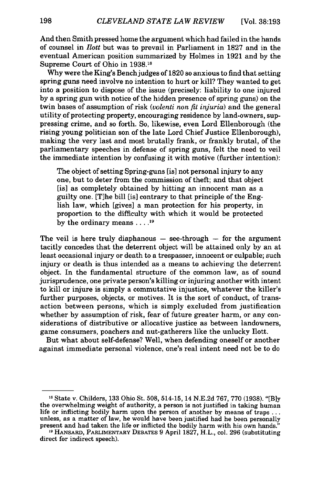And then Smith pressed home the argument which had failed in the hands of counsel in *Ilott* but was to prevail in Parliament in 1827 and in the eventual American position summarized by Holmes in 1921 and by the Supreme Court of Ohio in 1938.18

Why were the King's Bench judges of 1820 so anxious to find that setting spring guns need involve no intention to hurt or kill? They wanted to get into a position to dispose of the issue (precisely: liability to one injured by a spring gun with notice of the hidden presence of spring guns) on the twin bases of assumption of risk *(volenti non fit injuria)* and the general utility of protecting property, encouraging residence by land-owners, suppressing crime, and so forth. So, likewise, even Lord Ellenborough (the rising young politician son of the late Lord Chief Justice Ellenborough), making the very last and most brutally frank, or frankly brutal, of the parliamentary speeches in defense of spring guns, felt the need to veil the immediate intention by confusing it with motive (further intention):

The object of setting Spring-guns [is] not personal injury to any one, but to deter from the commission of theft; and that object [is] as completely obtained by hitting an innocent man as a guilty one. [T]he bill [is] contrary to that principle of the English law, which [gives] a man protection for his property, in proportion to the difficulty with which it would be protected by the ordinary means .... **<sup>19</sup>**

The veil is here truly diaphanous  $-$  see-through  $-$  for the argument tacitly concedes that the deterrent object will be attained only by an at least occasional injury or death to a trespasser, innocent or culpable; such injury or death is thus intended as a means to achieving the deterrent object. In the fundamental structure of the common law, as of sound jurisprudence, one private person's killing or injuring another with intent to kill or injure is simply a commutative injustice, whatever the killer's further purposes, objects, or motives. It is the sort of conduct, of transaction between persons, which is simply excluded from justification whether by assumption of risk, fear of future greater harm, or any considerations of distributive or allocative justice as between landowners, game consumers, poachers and nut-gatherers like the unlucky Ilott.

But what about self-defense? Well, when defending oneself or another against immediate personal violence, one's real intent need not be to do

<sup>&</sup>lt;sup>18</sup> State v. Childers, 133 Ohio St. 508, 514-15, 14 N.E.2d 767, 770 (1938). "[B]y the overwhelming weight of authority, a person is not justified in taking human life or inflicting bodily harm upon the person of another by means of traps ...<br>unless, as a matter of law, he would have been justified had he been personally<br>present and had taken the life or inflicted the bodily harm wi

**<sup>19</sup>**HANSARD, PARLIMENTARY DEBATES 9 April 1827, H.L., col. 296 (substituting direct for indirect speech).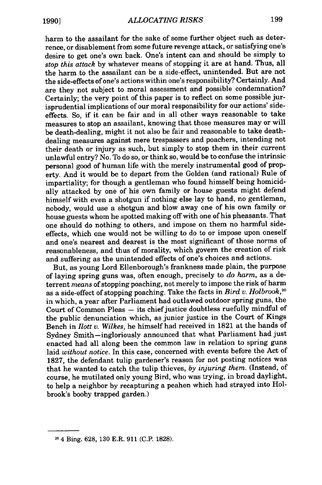harm to the assailant for the sake of some further object such as deterrence, or disablement from some future revenge attack, or satisfying one's desire to get one's own back. One's intent can and should be simply to *stop this attack* by whatever means of stopping it are at hand. Thus, all the harm to the assailant can be a side-effect, unintended. But are not the side-effects of one's actions within one's responsibility? Certainly. And are they not subject to moral assessment and possible condemnation? Certainly; the very point of this paper is to reflect on some possible jurisprudential implications of our moral responsibility for our actions' sideeffects. So, if it can be fair and in all other ways reasonable to take measures to stop an assailant, knowing that those measures may or will be death-dealing, might it not also be fair and reasonable to take deathdealing measures against mere trespassers and poachers, intending not their death or injury as such, but simply to stop them in their current unlawful entry? No. To do so, or think so, would be to confuse the intrinsic personal good of human life with the merely instrumental good of property. And it would be to depart from the Golden (and rational) Rule of impartiality; for though a gentleman who found himself being homicidally attacked by one of his own family or house guests might defend himself with even a shotgun if nothing else lay to hand, no gentleman, nobody, would use a shotgun and blow away one of his own family or house guests whom he spotted making off with one of his pheasants. That one should do nothing to others, and impose on them no harmful sideeffects, which one would not be willing to do to or impose upon oneself and one's nearest and dearest is the most significant of those norms of reasonableness, and thus of morality, which govern the creation of risk and suffering as the unintended effects of one's choices and actions.

But, as young Lord Ellenborough's frankness made plain, the purpose of laying spring guns was, often enough, precisely to *do harm,* as a deterrent *means* of stopping poaching, not merely to impose the risk of harm as a side-effect of stopping poaching. Take the facts in *Bird v. Holbrook,20* in which, a year after Parliament had outlawed outdoor spring guns, the Court of Common Pleas - its chief justice doubtless ruefully mindful of the public denunciation which, as junior justice in the Court of Kings Bench in *Ilott v. Wilkes,* he himself had received in 1821 at the hands of Sydney Smith-ingloriously announced that what Parliament had just enacted had all along been the common law in relation to spring guns laid *without notice.* In this case, concerned with events before the Act of 1827, the defendant tulip gardener's reason for not posting notices was that he wanted to catch the tulip thieves, *by injuring them.* (Instead, of course, he mutilated only young Bird, who was trying, in broad daylight, to help a neighbor by recapturing a peahen which had strayed into Holbrook's booby trapped garden.)

<sup>20 4</sup> Bing. 628, 130 E.R. **911** (C.P. 1828).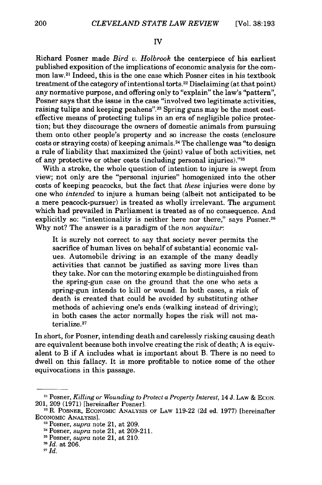Richard Posner made *Bird v. Holbrook* the centerpiece of his earliest published exposition of the implications of economic analysis for the common law.<sup>21</sup> Indeed, this is the one case which Posner cites in his textbook treatment of the category of intentional torts. 22 Disclaiming (at that point) any normative purpose, and offering only to "explain" the law's "pattern", Posner says that the issue in the case "involved two legitimate activities, raising tulips and keeping peahens".23 Spring guns may be the most costeffective means of protecting tulips in an era of negligible police protection; but they discourage the owners of domestic animals from pursuing them onto other people's property and so increase the costs (enclosure costs or straying costs) of keeping animals. 24 The challenge was "to design a rule of liability that maximized the (joint) value of both activities, net of any protective or other costs (including personal injuries). '25

With a stroke, the whole question of intention to injure is swept from view; not only are the "personal injuries" homogenized into the other costs of keeping peacocks, but the fact that *these* injuries were done by one who *intended* to injure a human being (albeit not anticipated to be a mere peacock-pursuer) is treated as wholly irrelevant. The argument which had prevailed in Parliament is treated as of no consequence. And explicitly so: "intentionality is neither here nor there," says Posner.<sup>26</sup> Why not? The answer is a paradigm of the *non sequitur:*

It is surely not correct to say that society never permits the sacrifice of human lives on behalf of substantial economic values. Automobile driving is an example of the many deadly activities that cannot be justified as saving more lives than they take. Nor can the motoring example be distinguished from the spring-gun case on the ground that the one who sets a spring-gun intends to kill or wound. In both cases, a risk of death is created that could be avoided by substituting other methods of achieving one's ends (walking instead of driving); in both cases the actor normally hopes the risk will not materialize. <sup>27</sup>

In short, for Posner, intending death and carelessly risking causing death are equivalent because both involve creating the risk of death; A is equivalent to B if A includes what is important about B. There is no need to dwell on this fallacy. It is more profitable to notice some of the other equivocations in this passage.

**<sup>21</sup>**Posner, *Killing or Wounding to Protect a Property Interest,* 14 J. LAW & ECON. 201, 209 (1971) [hereinafter Posner].<br><sup>22</sup> R. POSNER, ECONOMIC ANALYSIS OF LAW 119-22 (2d ed. 1977) [hereinafter

ECONOMIC ANALYSIS]. **<sup>23</sup>**Posner, *supra* note 21, at 209.

**<sup>24</sup>**Posner, *supra* note 21, at 209-211.

**<sup>25</sup>**Posner, *supra* note 21, at 210. *<sup>26</sup>*Id. at 206.

*<sup>27</sup>Id.*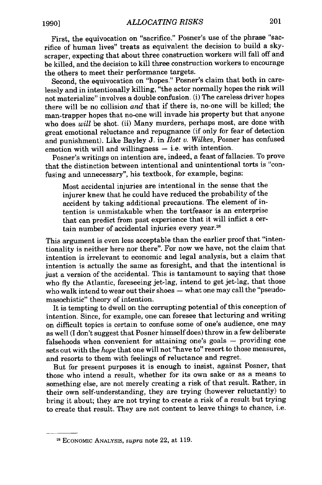First, the equivocation on "sacrifice." Posner's use of the phrase "sacrifice of human lives" treats as equivalent the decision to build a skyscraper, expecting that about three construction workers will fall off and be killed, and the decision to kill three construction workers to encourage the others to meet their performance targets.

Second, the equivocation on "hopes." Posner's claim that both in carelessly and in intentionally killing, "the actor normally hopes the risk will not materialize" involves a double confusion. (i) The careless driver hopes there will be no collision *and* that if there is, no-one will be killed; the man-trapper hopes that no-one will invade his property but that anyone who does *will* be shot. (ii) Many murders, perhaps most, are done with great emotional reluctance and repugnance (if only for fear of detection and punishment). Like Bayley J. in *Ilott v. Wilkes,* Posner has confused emotion with will and willingness  $-$  i.e. with intention.

Posner's writings on intention are, indeed, a feast of fallacies. To prove that the distinction between intentional and unintentional torts is "confusing and unnecessary", his textbook, for example, begins:

Most accidental injuries are intentional in the sense that the injurer knew that he could have reduced the probability of the accident by taking additional precautions. The element of intention is unmistakable when the tortfeasor is an enterprise that can predict from past experience that it will inflict a certain number of accidental injuries every year.<sup>28</sup>

This argument is even less acceptable than the earlier proof that "intentionality is neither here nor there". For now we have, not the claim that intention is irrelevant to economic and legal analysis, but a claim that intention is actually the same as foresight, and that the intentional is just a version of the accidental. This is tantamount to saying that those who fly the Atlantic, foreseeing jet-lag, intend to get jet-lag, that those who walk intend to wear out their shoes - what one may call the "pseudomasochistic" theory of intention.

It is tempting to dwell on the corrupting potential of this conception of intention. Since, for example, one can foresee that lecturing and writing on difficult topics is certain to confuse some of one's audience, one may as well (I don't suggest that Posner himself does) throw in a few deliberate falsehoods when convenient for attaining one's goals - providing one sets out with the *hope* that one will not "have to" resort to those measures, and resorts to them with feelings of reluctance and regret.

But for present purposes it is enough to insist, against Posner, that those who intend a result, whether for its own sake or as a means to something else, are not merely creating a risk of that result. Rather, in their own self-understanding, they are trying (however reluctantly) to bring it about; they are not trying to create a risk of a result but trying to create that result. They are not content to leave things to chance, i.e.

<sup>21</sup> ECONOMIC ANALYSIS, *supra* note 22, at 119.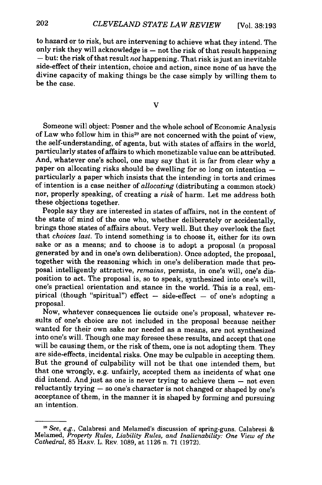to hazard or to risk, but are intervening to achieve what they intend. The only risk they will acknowledge is **-** not the risk of that result happening **-** but: the risk of that result *not* happening. That risk is just an inevitable side-effect of their intention, choice and action, since none of us have the divine capacity of making things be the case simply by willing them to be the case.

Someone will object: Posner and the whole school of Economic Analysis of Law who follow him in this<sup>29</sup> are not concerned with the point of view, the self-understanding, of agents, but with states of affairs in the world, particularly states of affairs to which monetizable value can be attributed. And, whatever one's school, one may say that it is far from clear why a paper on allocating risks should be dwelling for so long on intention **-** particularly a paper which insists that the intending in torts and crimes of intention is a case neither of *allocating* (distributing a common stock) nor, properly speaking, of creating a *risk* of harm. Let me address both these objections together.

People say they are interested in states of affairs, not in the content of the state of mind of the one who, whether deliberately or accidentally, brings those states of affairs about. Very well. But they overlook the fact that *choices last.* To intend something is to choose it, either for its own sake or as a means; and to choose is to adopt a proposal (a proposal generated by and in one's own deliberation). Once adopted, the proposal, together with the reasoning which in one's deliberation made that proposal intelligently attractive, *remains,* persists, in one's will, one's disposition to act. The proposal is, so to speak, synthesized into one's will, one's practical orientation and stance in the world. This is a real, empirical (though "spiritual") effect **-** side-effect **-** of one's adopting a proposal.

Now, whatever consequences lie outside one's proposal, whatever results of one's choice are not included in the proposal because neither wanted for their own sake nor needed as a means, are not synthesized into one's will. Though one may foresee these results, and accept that one will be causing them, or the risk of them, one is not adopting them. They are side-effects, incidental risks. One may be culpable in accepting them. But the ground of culpability will not be that one intended them, but that one wrongly, e.g. unfairly, accepted them as incidents of what one did intend. And just as one is never trying to achieve them **-** not even reluctantly trying **-** so one's character is not changed or shaped by one's acceptance of them, in the manner it is shaped by forming and pursuing an intention.

*See, e.g.,* Calabresi and Melamed's discussion of spring-guns. Calabresi & Melamed, *Property Rules, Liability Rules, and Inalienability: One View of the Cathedral,* 85 HARV. L. REV. 1089, at 1126 n. 71 (1972).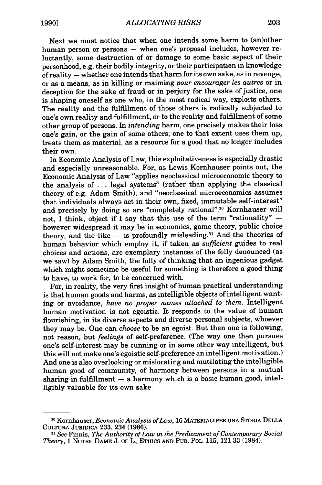Next we must notice that when one intends some harm to (an)other human person or persons **-** when one's proposal includes, however reluctantly, some destruction of or damage to some basic aspect of their personhood, e.g. their bodily integrity, or their participation in knowledge of reality **-** whether one intends that harm for its own sake, as in revenge, or as a means, as in killing or maiming *pour encourager les autres* or in deception for the sake of fraud or in perjury for the sake of justice, one is shaping oneself as one who, in the most radical way, exploits others. The reality and the fulfillment of those others is radically subjected to one's own reality and fulfillment, or to the reality and fulfillment of some other group of persons. In *intending* harm, one precisely makes their loss one's gain, or the gain of some others; one to that extent uses them up, treats them as material, as a resource for a good that no longer includes their own.

In Economic Analysis of Law, this exploitativeness is especially drastic and especially unreasonable. For, as Lewis Kornhauser points out, the Economic Analysis of Law "applies neoclassical microeconomic theory to the analysis of ... legal systems" (rather than applying the classical theory of e.g. Adam Smith), and "neoclassical microeconomics assumes that individuals always act in their own, fixed, immutable self-interest" and precisely by doing so are "completely rational".30 Kornhauser will not, I think, object if I say that this use of the term "rationality"  however widespread it may be in economics, game theory, public choice theory, and the like **-** is profoundly misleading. 31 And the theories of human behavior which employ it, if taken as *sufficient* guides to real choices and actions, are exemplary instances of the folly denounced (as we saw) by Adam Smith, the folly of thinking that an ingenious gadget which might sometime be useful for something is therefore a good thing to have, to work for, to be concerned with.

For, in reality, the very first insight of human practical understanding is that human goods and harms, as intelligible objects of intelligent wanting or avoidance, *have no proper names attached to them.* Intelligent human motivation is not egoistic. It responds to the value of human flourishing, in its diverse aspects and diverse personal subjects, whoever they may be. One can *choose* to be an egoist. But then one is following, not reason, but *feelings* of self-preference. (The way one then pursues one's self-interest may be cunning or in some other way intelligent, but this will not make one's egoistic self-preference an intelligent motivation.) And one is also overlooking or mislocating and mutilating the intelligible human good of community, of harmony between persons in a mutual sharing in fulfillment **-** a harmony which is a basic human good, intelligibly valuable for its own sake.

**<sup>3</sup>** Kornhauser, *Economic Analysis of Law,* 16 **MATERIALI PER UNA** STORIA **DELLA CULTURA** JURIDICA 233, 234 (1986).

*<sup>31</sup> See* Finnis, *The Authority of Law in the Predicament of Contemporary Social Theory,* 1 NOTRE **DAME J.** OF L., ETHics **AND** PUB. POL. 115, 121-33 (1984).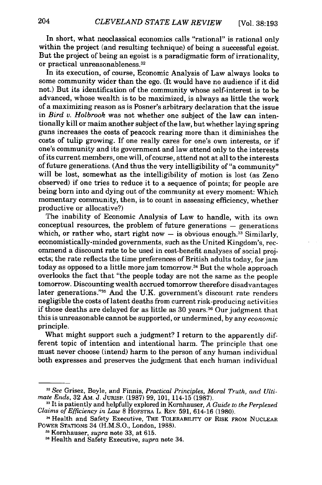In short, what neoclassical economics calls "rational" is rational only within the project (and resulting technique) of being a successful egoist. But the project of being an egoist is a paradigmatic form of irrationality, or practical unreasonableness.<sup>32</sup>

In its execution, of course, Economic Analysis of Law always looks to some community wider than the ego. (It would have no audience if it did not.) But its identification of the community whose self-interest is to be advanced, whose wealth is to be maximized, is always as little the work of a maximizing reason as is Posner's arbitrary declaration that the issue in *Bird v. Holbrook* was not whether one subject of the law can intentionally kill or maim another subject of the law, but whether laying spring guns increases the costs of peacock rearing more than it diminishes the costs of tulip growing. If one really cares for one's own interests, or if one's community and its government and law attend only to the interests of its current members, one will, of course, attend not at all to the interests of future generations. (And thus the very intelligibility of "a community" will be lost, somewhat as the intelligibility of motion is lost (as Zeno observed) if one tries to reduce it to a sequence of points; for people are being born into and dying out of the community at every moment: Which momentary community, then, is to count in assessing efficiency, whether productive or allocative?)

The inability of Economic Analysis of Law to handle, with its own conceptual resources, the problem of future generations **-** generations which, or rather who, start right now  $-$  is obvious enough.<sup>33</sup> Similarly, economistically-minded governments, such as the United Kingdom's, recommend a discount rate to be used in cost-benefit analyses of social projects; the rate reflects the time preferences of British adults today, for jam today as opposed to a little more jam tomorrow.34 But the whole approach overlooks the fact that "the people today are not the same as the people tomorrow. Discounting wealth accrued tomorrow therefore disadvantages later generations."35 And the U.K. government's discount rate renders negligible the costs of latent deaths from current risk-producing activities if those deaths are delayed for as little as 30 years. 36 Our judgment that this is unreasonable cannot be supported, or undermined, by any *economic* principle.

What might support such a judgment? I return to the apparently different topic of intention and intentional harm. The principle that one must never choose (intend) harm to the person of any human individual both expresses and preserves the judgment that each human individual

**<sup>32</sup>** *See* Grisez, Boyle, and Finnis, *Practical Principles, Moral Truth, and Ulti-*

mate Ends, 32 Am. J. JURISP. (1987) 99, 101, 114-15 (1987).<br><sup>33</sup> It is patiently and helpfully explored in Kornhauser, *A Guide to the Perplexed*<br>*Claims of Efficiency in Law* 8 HOFSTRA L. REV. 591, 614-16 (1980).

**<sup>-</sup>** Health and Safety Executive, THE TOLERABILITY OF RISK FROM **NUCLEAR** POWER STATIONS 34 (H.M.S.O., London, 1988).

**<sup>15</sup>**Kornhauser, *supra* note 33, at 615.

**<sup>11</sup>**Health and Safety Executive, *supra* note 34.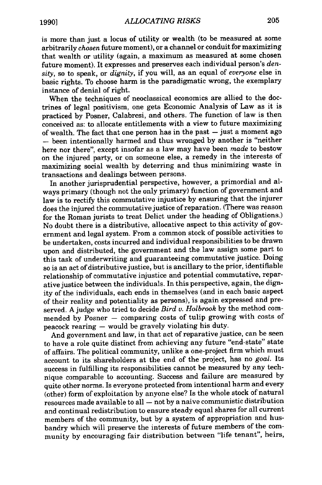is more than just a locus of utility or wealth (to be measured at some arbitrarily *chosen* future moment), or a channel or conduit for maximizing that wealth or utility (again, a maximum as measured at some chosen future moment). It expresses and preserves each individual person's *density,* so to speak, or *dignity,* if you will, as an equal of *everyone* else in basic rights. To choose harm is the paradigmatic wrong, the exemplary instance of denial of right.

When the techniques of neoclassical economics are allied to the doctrines of legal positivism, one gets Economic Analysis of Law as it is practiced by Posner, Calabresi, and others. The function of law is then conceived as: to allocate entitlements with a view to future maximizing of wealth. The fact that one person has in the past **-** just a moment ago **-** been intentionally harmed and thus wronged by another is "neither here nor there", except insofar as a law may have been *made* to bestow on the injured party, or on someone else, a remedy in the interests of maximizing social wealth by deterring and thus minimizing waste in transactions and dealings between persons.

In another jurisprudential perspective, however, a primordial and always primary (though not the only primary) function of government and law is to rectify this commutative injustice by ensuring that the injurer does the injured the commutative justice of reparation. (There was reason for the Roman jurists to treat Delict under the heading of Obligations.) No doubt there is a distributive, allocative aspect to this activity of government and legal system. From a common stock of possible activities to be undertaken, costs incurred and individual responsibilities to be drawn upon and distributed, the government and the law assign some part to this task of underwriting and guaranteeing commutative justice. Doing so is an act of distributive justice, but is ancillary to the prior, identifiable relationship of commutative injustice and potential commutative, reparative justice between the individuals. In this perspective, again, the dignity of the individuals, each ends in themselves (and in each basic aspect of their reality and potentiality as persons), is again expressed and preserved. A judge who tried to decide *Bird v. Holbrook* by the method commended by Posner **-** comparing costs of tulip growing with costs of peacock rearing **-** would be gravely violating his duty.

And government and law, in that act of reparative justice, can be seen to have a role quite distinct from achieving any future "end-state" state of affairs. The political community, unlike a one-project firm which must account to its shareholders at the end of the project, has no *goal.* Its success in fulfilling its responsibilities cannot be measured by any technique comparable to accounting. Success and failure are measured by quite other norms. Is everyone protected from intentional harm and every (other) form of exploitation by anyone else? Is the whole stock of natural resources made available to all **-** not by a naive communistic distribution and continual redistribution to ensure steady equal shares for all current members of the community, but by a system of appropriation and husbandry which will preserve the interests of future members of the community by encouraging fair distribution between "life tenant", heirs,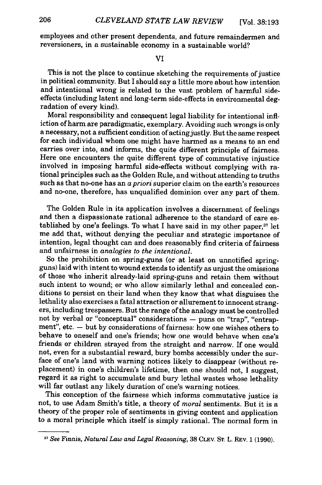employees and other present dependents, and future remaindermen and reversioners, in a sustainable economy in a sustainable world?

#### VI

This is not the place to continue sketching the requirements of justice in political community. But I should say a little more about how intention and intentional wrong is related to the vast problem of harmful sideeffects (including latent and long-term side-effects in environmental degradation of every kind).

Moral responsibility and consequent legal liability for intentional infliction of harm are paradigmatic, exemplary. Avoiding such wrongs is only a necessary, not a sufficient condition of acting justly. But the same respect for each individual whom one might have harmed as a means to an end carries over into, and informs, the quite different principle of fairness. Here one encounters the quite different type of commutative injustice involved in imposing harmful side-effects without complying with rational principles such as the Golden Rule, and without attending to truths such as that no-one has an *a priori* superior claim on the earth's resources and no-one, therefore, has unqualified dominion over any part of them.

The Golden Rule in its application involves a discernment of feelings and then a dispassionate rational adherence to the standard of care established by one's feelings. To what I have said in my other paper,<sup>37</sup> let me add that, without denying the peculiar and strategic importance of intention, legal thought can and does reasonably find criteria of fairness and unfairness in *analogies to the intentional.*

So the prohibition on spring-guns (or at least on unnotified spring- guns) laid with intent to wound extends to identify as unjust the omissions of those who inherit already-laid spring-guns and retain them without such intent to wound; or who allow similarly lethal and concealed conditions to persist on their land when they know that what disguises the lethality also exercises a fatal attraction or allurement to innocent strangers, including trespassers. But the range of the analogy must be controlled not by verbal or "conceptual" considerations  $-$  puns on "trap", "entrap-<br>ment", etc.  $-$  but by considerations of fairness: how one wishes others to behave to oneself and one's friends; how one would behave when one's friends or children strayed from the straight and narrow. If one would not, even for a substantial reward, bury bombs accessibly under the surface of one's land with warning notices likely to disappear (without replacement) in one's children's lifetime, then one should not, I suggest, regard it as right to accumulate and bury lethal wastes whose lethality will far outlast any likely duration of one's warning notices.

This conception of the fairness which informs commutative justice is not, to use Adam Smith's title, a theory of *moral* sentiments. But it is a theory of the proper role of sentiments in giving content and application to a moral principle which itself is simply rational. The normal form in

*<sup>37</sup>See* Finnis, *Natural Law and Legal Reasoning,* **38** CLEv. **ST.** L. REV. **1 (1990).**